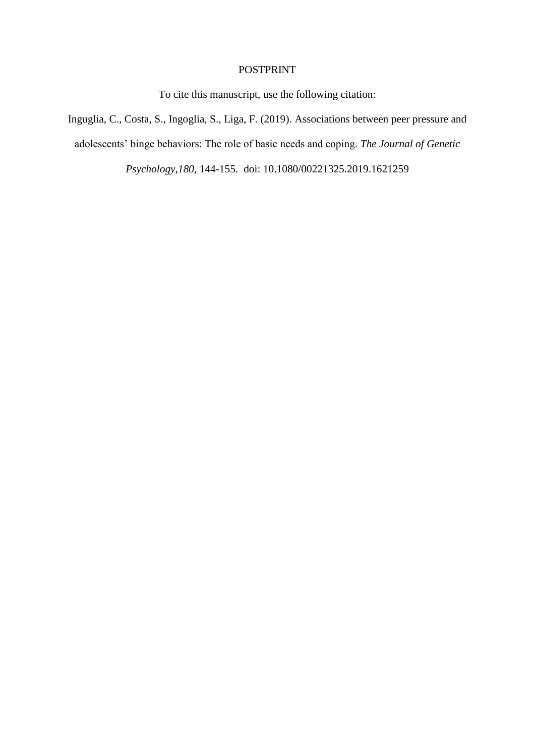# POSTPRINT

To cite this manuscript, use the following citation:

Inguglia, C., Costa, S., Ingoglia, S., Liga, F. (2019). Associations between peer pressure and adolescents" binge behaviors: The role of basic needs and coping. *The Journal of Genetic Psychology*,*180*, 144-155. doi: 10.1080/00221325.2019.1621259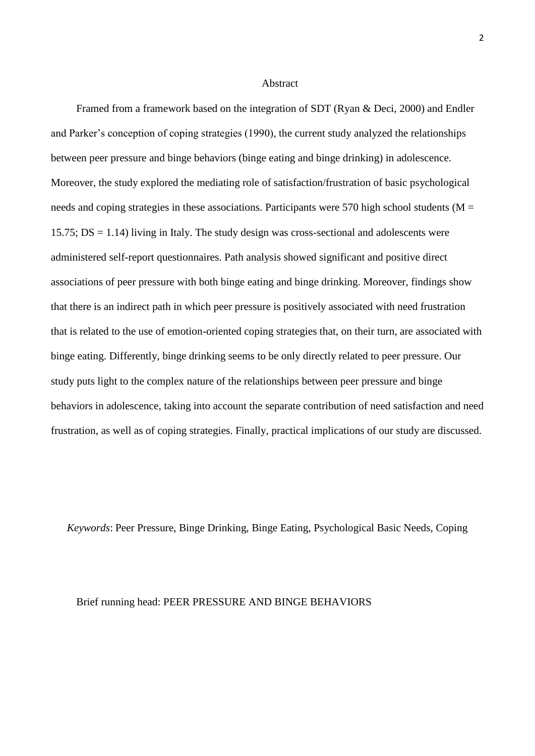#### Abstract

Framed from a framework based on the integration of SDT (Ryan & Deci, 2000) and Endler and Parker"s conception of coping strategies (1990), the current study analyzed the relationships between peer pressure and binge behaviors (binge eating and binge drinking) in adolescence. Moreover, the study explored the mediating role of satisfaction/frustration of basic psychological needs and coping strategies in these associations. Participants were 570 high school students ( $M =$ 15.75;  $DS = 1.14$ ) living in Italy. The study design was cross-sectional and adolescents were administered self-report questionnaires. Path analysis showed significant and positive direct associations of peer pressure with both binge eating and binge drinking. Moreover, findings show that there is an indirect path in which peer pressure is positively associated with need frustration that is related to the use of emotion-oriented coping strategies that, on their turn, are associated with binge eating. Differently, binge drinking seems to be only directly related to peer pressure. Our study puts light to the complex nature of the relationships between peer pressure and binge behaviors in adolescence, taking into account the separate contribution of need satisfaction and need frustration, as well as of coping strategies. Finally, practical implications of our study are discussed.

*Keywords*: Peer Pressure, Binge Drinking, Binge Eating, Psychological Basic Needs, Coping

#### Brief running head: PEER PRESSURE AND BINGE BEHAVIORS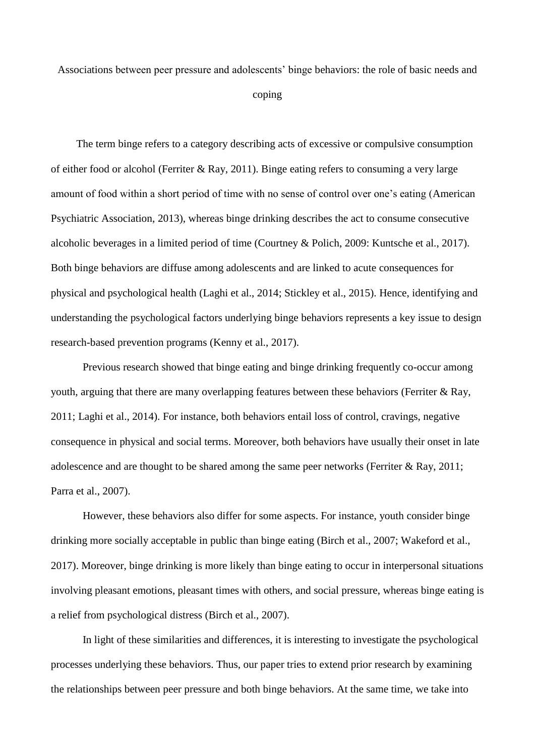Associations between peer pressure and adolescents" binge behaviors: the role of basic needs and

coping

The term binge refers to a category describing acts of excessive or compulsive consumption of either food or alcohol (Ferriter & Ray, 2011). Binge eating refers to consuming a very large amount of food within a short period of time with no sense of control over one"s eating (American Psychiatric Association, 2013), whereas binge drinking describes the act to consume consecutive alcoholic beverages in a limited period of time (Courtney & Polich, 2009: Kuntsche et al., 2017). Both binge behaviors are diffuse among adolescents and are linked to acute consequences for physical and psychological health (Laghi et al., 2014; Stickley et al., 2015). Hence, identifying and understanding the psychological factors underlying binge behaviors represents a key issue to design research-based prevention programs (Kenny et al., 2017).

Previous research showed that binge eating and binge drinking frequently co-occur among youth, arguing that there are many overlapping features between these behaviors (Ferriter & Ray, 2011; Laghi et al., 2014). For instance, both behaviors entail loss of control, cravings, negative consequence in physical and social terms. Moreover, both behaviors have usually their onset in late adolescence and are thought to be shared among the same peer networks (Ferriter & Ray, 2011; Parra et al., 2007).

However, these behaviors also differ for some aspects. For instance, youth consider binge drinking more socially acceptable in public than binge eating (Birch et al., 2007; Wakeford et al., 2017). Moreover, binge drinking is more likely than binge eating to occur in interpersonal situations involving pleasant emotions, pleasant times with others, and social pressure, whereas binge eating is a relief from psychological distress (Birch et al., 2007).

In light of these similarities and differences, it is interesting to investigate the psychological processes underlying these behaviors. Thus, our paper tries to extend prior research by examining the relationships between peer pressure and both binge behaviors. At the same time, we take into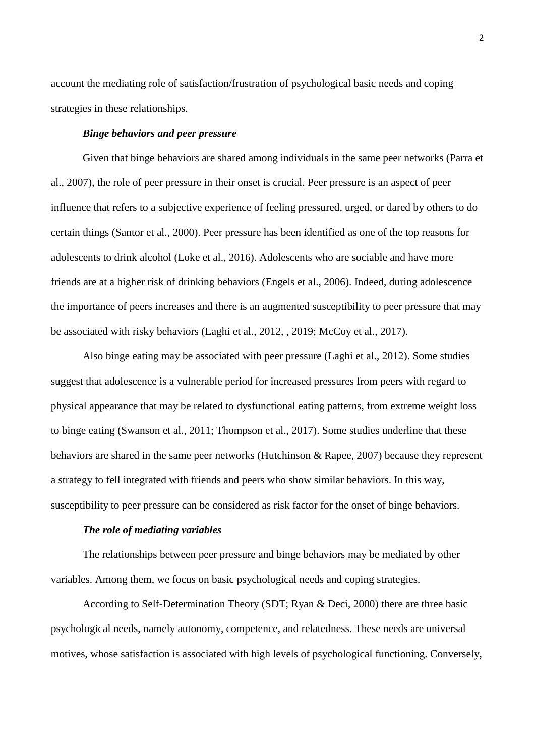account the mediating role of satisfaction/frustration of psychological basic needs and coping strategies in these relationships.

### *Binge behaviors and peer pressure*

Given that binge behaviors are shared among individuals in the same peer networks (Parra et al., 2007), the role of peer pressure in their onset is crucial. Peer pressure is an aspect of peer influence that refers to a subjective experience of feeling pressured, urged, or dared by others to do certain things (Santor et al., 2000). Peer pressure has been identified as one of the top reasons for adolescents to drink alcohol (Loke et al., 2016). Adolescents who are sociable and have more friends are at a higher risk of drinking behaviors (Engels et al., 2006). Indeed, during adolescence the importance of peers increases and there is an augmented susceptibility to peer pressure that may be associated with risky behaviors (Laghi et al., 2012, , 2019; McCoy et al., 2017).

Also binge eating may be associated with peer pressure (Laghi et al., 2012). Some studies suggest that adolescence is a vulnerable period for increased pressures from peers with regard to physical appearance that may be related to dysfunctional eating patterns, from extreme weight loss to binge eating (Swanson et al., 2011; Thompson et al., 2017). Some studies underline that these behaviors are shared in the same peer networks (Hutchinson & Rapee, 2007) because they represent a strategy to fell integrated with friends and peers who show similar behaviors. In this way, susceptibility to peer pressure can be considered as risk factor for the onset of binge behaviors.

## *The role of mediating variables*

The relationships between peer pressure and binge behaviors may be mediated by other variables. Among them, we focus on basic psychological needs and coping strategies.

According to Self-Determination Theory (SDT; Ryan & Deci, 2000) there are three basic psychological needs, namely autonomy, competence, and relatedness. These needs are universal motives, whose satisfaction is associated with high levels of psychological functioning. Conversely,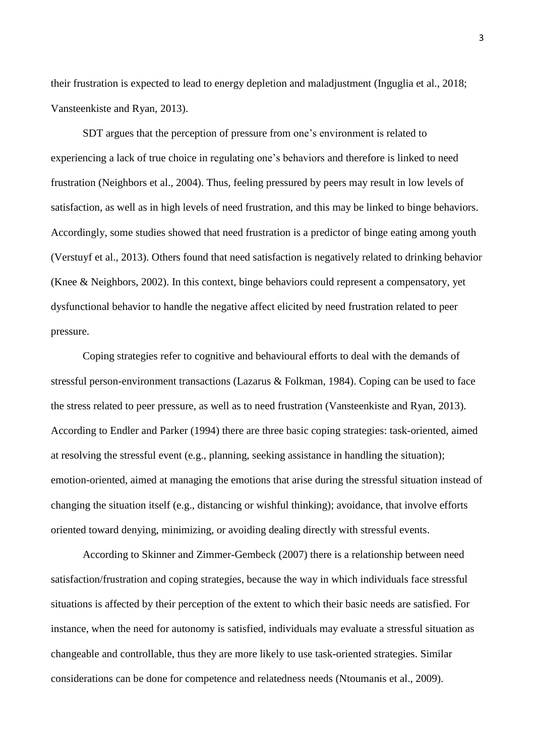their frustration is expected to lead to energy depletion and maladjustment (Inguglia et al., 2018; Vansteenkiste and Ryan, 2013).

SDT argues that the perception of pressure from one"s environment is related to experiencing a lack of true choice in regulating one"s behaviors and therefore is linked to need frustration (Neighbors et al., 2004). Thus, feeling pressured by peers may result in low levels of satisfaction, as well as in high levels of need frustration, and this may be linked to binge behaviors. Accordingly, some studies showed that need frustration is a predictor of binge eating among youth (Verstuyf et al., 2013). Others found that need satisfaction is negatively related to drinking behavior (Knee & Neighbors, 2002). In this context, binge behaviors could represent a compensatory, yet dysfunctional behavior to handle the negative affect elicited by need frustration related to peer pressure.

Coping strategies refer to cognitive and behavioural efforts to deal with the demands of stressful person-environment transactions (Lazarus & Folkman, 1984). Coping can be used to face the stress related to peer pressure, as well as to need frustration (Vansteenkiste and Ryan, 2013). According to Endler and Parker (1994) there are three basic coping strategies: task-oriented, aimed at resolving the stressful event (e.g., planning, seeking assistance in handling the situation); emotion-oriented, aimed at managing the emotions that arise during the stressful situation instead of changing the situation itself (e.g., distancing or wishful thinking); avoidance, that involve efforts oriented toward denying, minimizing, or avoiding dealing directly with stressful events.

According to Skinner and Zimmer-Gembeck (2007) there is a relationship between need satisfaction/frustration and coping strategies, because the way in which individuals face stressful situations is affected by their perception of the extent to which their basic needs are satisfied. For instance, when the need for autonomy is satisfied, individuals may evaluate a stressful situation as changeable and controllable, thus they are more likely to use task-oriented strategies. Similar considerations can be done for competence and relatedness needs (Ntoumanis et al., 2009).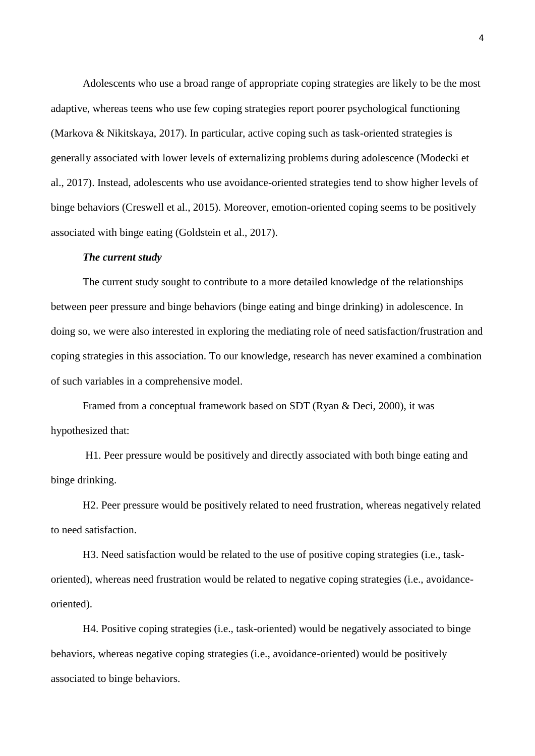Adolescents who use a broad range of appropriate coping strategies are likely to be the most adaptive, whereas teens who use few coping strategies report poorer psychological functioning (Markova & Nikitskaya, 2017). In particular, active coping such as task-oriented strategies is generally associated with lower levels of externalizing problems during adolescence (Modecki et al., 2017). Instead, adolescents who use avoidance-oriented strategies tend to show higher levels of binge behaviors (Creswell et al., 2015). Moreover, emotion-oriented coping seems to be positively associated with binge eating (Goldstein et al., 2017).

## *The current study*

The current study sought to contribute to a more detailed knowledge of the relationships between peer pressure and binge behaviors (binge eating and binge drinking) in adolescence. In doing so, we were also interested in exploring the mediating role of need satisfaction/frustration and coping strategies in this association. To our knowledge, research has never examined a combination of such variables in a comprehensive model.

Framed from a conceptual framework based on SDT (Ryan & Deci, 2000), it was hypothesized that:

H1. Peer pressure would be positively and directly associated with both binge eating and binge drinking.

H2. Peer pressure would be positively related to need frustration, whereas negatively related to need satisfaction.

H3. Need satisfaction would be related to the use of positive coping strategies (i.e., taskoriented), whereas need frustration would be related to negative coping strategies (i.e., avoidanceoriented).

H4. Positive coping strategies (i.e., task-oriented) would be negatively associated to binge behaviors, whereas negative coping strategies (i.e., avoidance-oriented) would be positively associated to binge behaviors.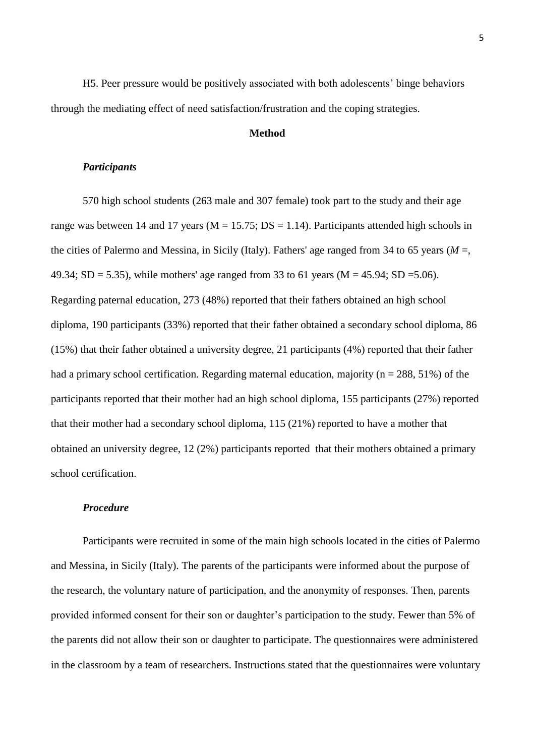H5. Peer pressure would be positively associated with both adolescents" binge behaviors through the mediating effect of need satisfaction/frustration and the coping strategies.

## **Method**

## *Participants*

570 high school students (263 male and 307 female) took part to the study and their age range was between 14 and 17 years ( $M = 15.75$ ;  $DS = 1.14$ ). Participants attended high schools in the cities of Palermo and Messina, in Sicily (Italy). Fathers' age ranged from 34 to 65 years (*M* =, 49.34; SD = 5.35), while mothers' age ranged from 33 to 61 years ( $M = 45.94$ ; SD = 5.06). Regarding paternal education, 273 (48%) reported that their fathers obtained an high school diploma, 190 participants (33%) reported that their father obtained a secondary school diploma, 86 (15%) that their father obtained a university degree, 21 participants (4%) reported that their father had a primary school certification. Regarding maternal education, majority ( $n = 288, 51\%$ ) of the participants reported that their mother had an high school diploma, 155 participants (27%) reported that their mother had a secondary school diploma, 115 (21%) reported to have a mother that obtained an university degree, 12 (2%) participants reported that their mothers obtained a primary school certification.

## *Procedure*

Participants were recruited in some of the main high schools located in the cities of Palermo and Messina, in Sicily (Italy). The parents of the participants were informed about the purpose of the research, the voluntary nature of participation, and the anonymity of responses. Then, parents provided informed consent for their son or daughter"s participation to the study. Fewer than 5% of the parents did not allow their son or daughter to participate. The questionnaires were administered in the classroom by a team of researchers. Instructions stated that the questionnaires were voluntary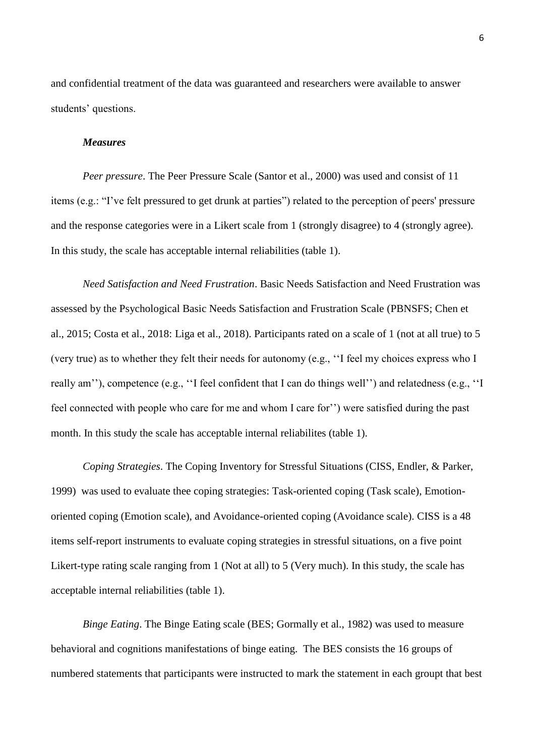and confidential treatment of the data was guaranteed and researchers were available to answer students' questions.

## *Measures*

*Peer pressure*. The Peer Pressure Scale (Santor et al., 2000) was used and consist of 11 items (e.g.: "I"ve felt pressured to get drunk at parties") related to the perception of peers' pressure and the response categories were in a Likert scale from 1 (strongly disagree) to 4 (strongly agree). In this study, the scale has acceptable internal reliabilities (table 1).

*Need Satisfaction and Need Frustration*. Basic Needs Satisfaction and Need Frustration was assessed by the Psychological Basic Needs Satisfaction and Frustration Scale (PBNSFS; Chen et al., 2015; Costa et al., 2018: Liga et al., 2018). Participants rated on a scale of 1 (not at all true) to 5 (very true) as to whether they felt their needs for autonomy (e.g., ""I feel my choices express who I really am"), competence (e.g., "I feel confident that I can do things well") and relatedness (e.g., "I feel connected with people who care for me and whom I care for" ) were satisfied during the past month. In this study the scale has acceptable internal reliabilites (table 1).

*Coping Strategies*. The Coping Inventory for Stressful Situations (CISS, Endler, & Parker, 1999) was used to evaluate thee coping strategies: Task-oriented coping (Task scale), Emotionoriented coping (Emotion scale), and Avoidance-oriented coping (Avoidance scale). CISS is a 48 items self-report instruments to evaluate coping strategies in stressful situations, on a five point Likert-type rating scale ranging from 1 (Not at all) to 5 (Very much). In this study, the scale has acceptable internal reliabilities (table 1).

*Binge Eating*. The Binge Eating scale (BES; Gormally et al., 1982) was used to measure behavioral and cognitions manifestations of binge eating. The BES consists the 16 groups of numbered statements that participants were instructed to mark the statement in each groupt that best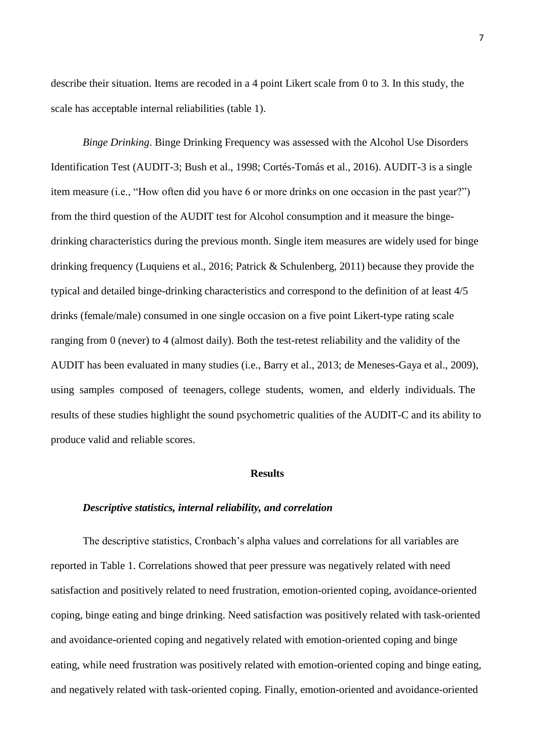describe their situation. Items are recoded in a 4 point Likert scale from 0 to 3. In this study, the scale has acceptable internal reliabilities (table 1).

*Binge Drinking*. Binge Drinking Frequency was assessed with the Alcohol Use Disorders Identification Test (AUDIT-3; Bush et al., 1998; Cortés-Tomás et al., 2016). AUDIT-3 is a single item measure (i.e., "How often did you have 6 or more drinks on one occasion in the past year?") from the third question of the AUDIT test for Alcohol consumption and it measure the bingedrinking characteristics during the previous month. Single item measures are widely used for binge drinking frequency (Luquiens et al., 2016; Patrick & Schulenberg, 2011) because they provide the typical and detailed binge-drinking characteristics and correspond to the definition of at least 4/5 drinks (female/male) consumed in one single occasion on a five point Likert-type rating scale ranging from 0 (never) to 4 (almost daily). Both the test-retest reliability and the validity of the AUDIT has been evaluated in many studies (i.e., Barry et al., 2013; de Meneses-Gaya et al., 2009), using samples composed of teenagers, college students, women, and elderly individuals. The results of these studies highlight the sound psychometric qualities of the AUDIT-C and its ability to produce valid and reliable scores.

#### **Results**

#### *Descriptive statistics, internal reliability, and correlation*

The descriptive statistics, Cronbach's alpha values and correlations for all variables are reported in Table 1. Correlations showed that peer pressure was negatively related with need satisfaction and positively related to need frustration, emotion-oriented coping, avoidance-oriented coping, binge eating and binge drinking. Need satisfaction was positively related with task-oriented and avoidance-oriented coping and negatively related with emotion-oriented coping and binge eating, while need frustration was positively related with emotion-oriented coping and binge eating, and negatively related with task-oriented coping. Finally, emotion-oriented and avoidance-oriented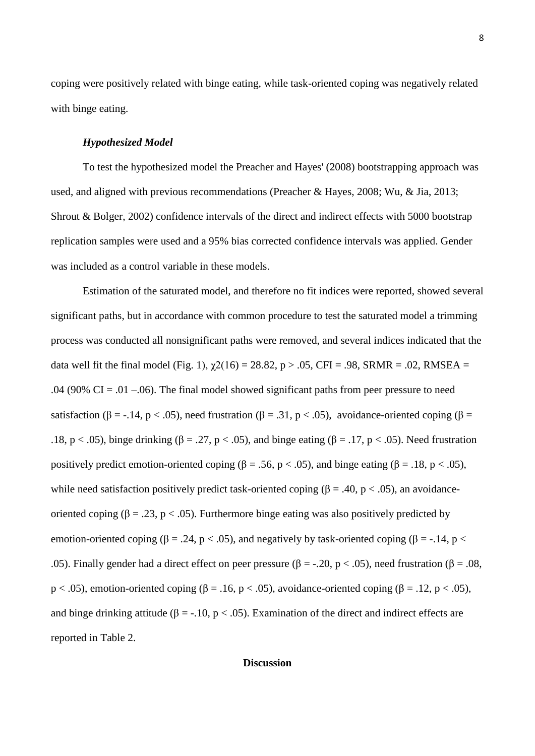coping were positively related with binge eating, while task-oriented coping was negatively related with binge eating.

## *Hypothesized Model*

To test the hypothesized model the Preacher and Hayes' (2008) bootstrapping approach was used, and aligned with previous recommendations (Preacher & Hayes, 2008; Wu, & Jia, 2013; Shrout & Bolger, 2002) confidence intervals of the direct and indirect effects with 5000 bootstrap replication samples were used and a 95% bias corrected confidence intervals was applied. Gender was included as a control variable in these models.

Estimation of the saturated model, and therefore no fit indices were reported, showed several significant paths, but in accordance with common procedure to test the saturated model a trimming process was conducted all nonsignificant paths were removed, and several indices indicated that the data well fit the final model (Fig. 1),  $\gamma$ 2(16) = 28.82, p > .05, CFI = .98, SRMR = .02, RMSEA = .04 (90% CI = .01 –.06). The final model showed significant paths from peer pressure to need satisfaction ( $\beta = -.14$ ,  $p < .05$ ), need frustration ( $\beta = .31$ ,  $p < .05$ ), avoidance-oriented coping ( $\beta =$ .18, p < .05), binge drinking ( $\beta = .27$ , p < .05), and binge eating ( $\beta = .17$ , p < .05). Need frustration positively predict emotion-oriented coping (β = .56, p < .05), and binge eating (β = .18, p < .05), while need satisfaction positively predict task-oriented coping ( $\beta = .40$ ,  $p < .05$ ), an avoidanceoriented coping ( $\beta = .23$ ,  $p < .05$ ). Furthermore binge eating was also positively predicted by emotion-oriented coping ( $\beta = .24$ ,  $p < .05$ ), and negatively by task-oriented coping ( $\beta = -.14$ ,  $p <$ .05). Finally gender had a direct effect on peer pressure (β = -.20, p < .05), need frustration (β = .08, p < .05), emotion-oriented coping ( $\beta$  = .16, p < .05), avoidance-oriented coping ( $\beta$  = .12, p < .05), and binge drinking attitude ( $\beta = -10$ ,  $p < .05$ ). Examination of the direct and indirect effects are reported in Table 2.

### **Discussion**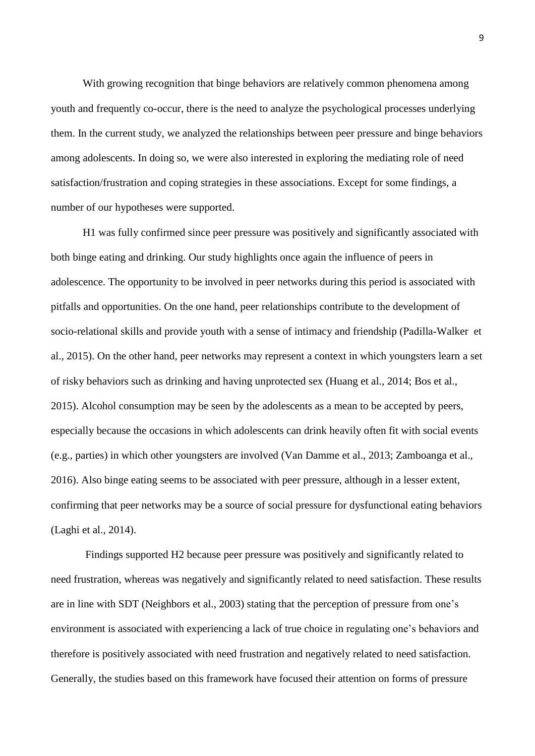With growing recognition that binge behaviors are relatively common phenomena among youth and frequently co-occur, there is the need to analyze the psychological processes underlying them. In the current study, we analyzed the relationships between peer pressure and binge behaviors among adolescents. In doing so, we were also interested in exploring the mediating role of need satisfaction/frustration and coping strategies in these associations. Except for some findings, a number of our hypotheses were supported.

H1 was fully confirmed since peer pressure was positively and significantly associated with both binge eating and drinking. Our study highlights once again the influence of peers in adolescence. The opportunity to be involved in peer networks during this period is associated with pitfalls and opportunities. On the one hand, peer relationships contribute to the development of socio-relational skills and provide youth with a sense of intimacy and friendship (Padilla‐Walker et al., 2015). On the other hand, peer networks may represent a context in which youngsters learn a set of risky behaviors such as drinking and having unprotected sex (Huang et al., 2014; Bos et al., 2015). Alcohol consumption may be seen by the adolescents as a mean to be accepted by peers, especially because the occasions in which adolescents can drink heavily often fit with social events (e.g., parties) in which other youngsters are involved (Van Damme et al., 2013; Zamboanga et al., 2016). Also binge eating seems to be associated with peer pressure, although in a lesser extent, confirming that peer networks may be a source of social pressure for dysfunctional eating behaviors (Laghi et al., 2014).

Findings supported H2 because peer pressure was positively and significantly related to need frustration, whereas was negatively and significantly related to need satisfaction. These results are in line with SDT (Neighbors et al., 2003) stating that the perception of pressure from one"s environment is associated with experiencing a lack of true choice in regulating one"s behaviors and therefore is positively associated with need frustration and negatively related to need satisfaction. Generally, the studies based on this framework have focused their attention on forms of pressure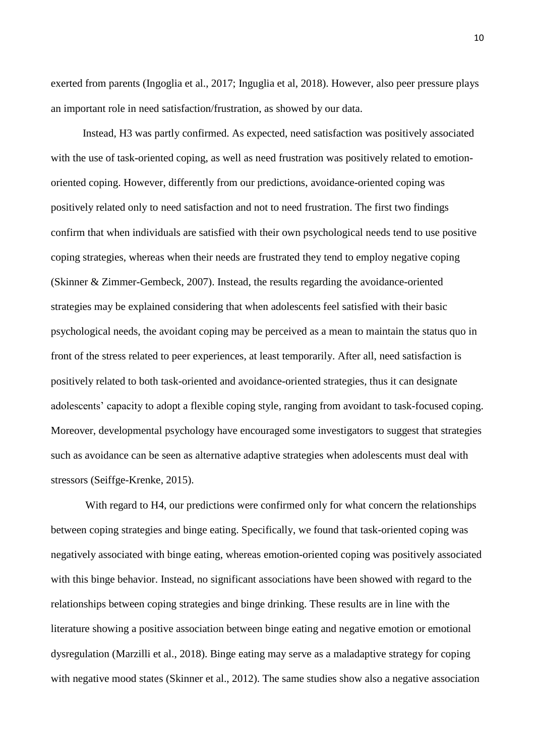exerted from parents (Ingoglia et al., 2017; Inguglia et al, 2018). However, also peer pressure plays an important role in need satisfaction/frustration, as showed by our data.

Instead, H3 was partly confirmed. As expected, need satisfaction was positively associated with the use of task-oriented coping, as well as need frustration was positively related to emotionoriented coping. However, differently from our predictions, avoidance-oriented coping was positively related only to need satisfaction and not to need frustration. The first two findings confirm that when individuals are satisfied with their own psychological needs tend to use positive coping strategies, whereas when their needs are frustrated they tend to employ negative coping (Skinner & Zimmer-Gembeck, 2007). Instead, the results regarding the avoidance-oriented strategies may be explained considering that when adolescents feel satisfied with their basic psychological needs, the avoidant coping may be perceived as a mean to maintain the status quo in front of the stress related to peer experiences, at least temporarily. After all, need satisfaction is positively related to both task-oriented and avoidance-oriented strategies, thus it can designate adolescents" capacity to adopt a flexible coping style, ranging from avoidant to task-focused coping. Moreover, developmental psychology have encouraged some investigators to suggest that strategies such as avoidance can be seen as alternative adaptive strategies when adolescents must deal with stressors (Seiffge-Krenke, 2015).

With regard to H4, our predictions were confirmed only for what concern the relationships between coping strategies and binge eating. Specifically, we found that task-oriented coping was negatively associated with binge eating, whereas emotion-oriented coping was positively associated with this binge behavior. Instead, no significant associations have been showed with regard to the relationships between coping strategies and binge drinking. These results are in line with the literature showing a positive association between binge eating and negative emotion or emotional dysregulation (Marzilli et al., 2018). Binge eating may serve as a maladaptive strategy for coping with negative mood states (Skinner et al., 2012). The same studies show also a negative association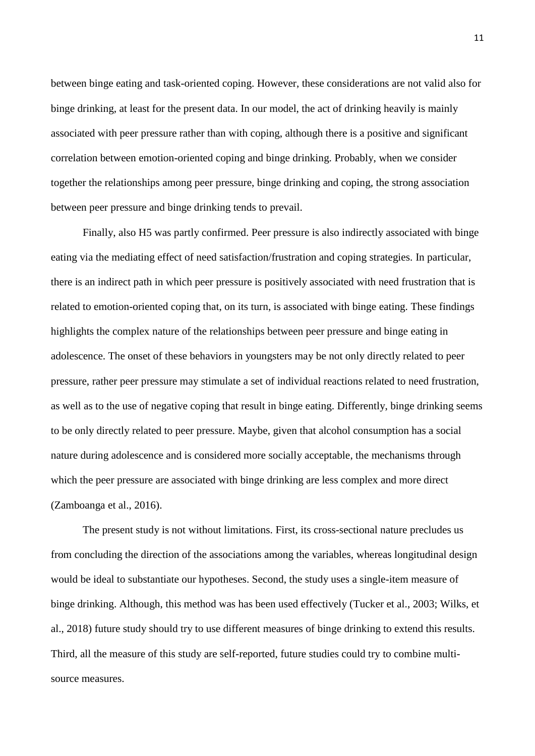between binge eating and task-oriented coping. However, these considerations are not valid also for binge drinking, at least for the present data. In our model, the act of drinking heavily is mainly associated with peer pressure rather than with coping, although there is a positive and significant correlation between emotion-oriented coping and binge drinking. Probably, when we consider together the relationships among peer pressure, binge drinking and coping, the strong association between peer pressure and binge drinking tends to prevail.

Finally, also H5 was partly confirmed. Peer pressure is also indirectly associated with binge eating via the mediating effect of need satisfaction/frustration and coping strategies. In particular, there is an indirect path in which peer pressure is positively associated with need frustration that is related to emotion-oriented coping that, on its turn, is associated with binge eating. These findings highlights the complex nature of the relationships between peer pressure and binge eating in adolescence. The onset of these behaviors in youngsters may be not only directly related to peer pressure, rather peer pressure may stimulate a set of individual reactions related to need frustration, as well as to the use of negative coping that result in binge eating. Differently, binge drinking seems to be only directly related to peer pressure. Maybe, given that alcohol consumption has a social nature during adolescence and is considered more socially acceptable, the mechanisms through which the peer pressure are associated with binge drinking are less complex and more direct (Zamboanga et al., 2016).

The present study is not without limitations. First, its cross-sectional nature precludes us from concluding the direction of the associations among the variables, whereas longitudinal design would be ideal to substantiate our hypotheses. Second, the study uses a single-item measure of binge drinking. Although, this method was has been used effectively (Tucker et al., 2003; Wilks, et al., 2018) future study should try to use different measures of binge drinking to extend this results. Third, all the measure of this study are self-reported, future studies could try to combine multisource measures.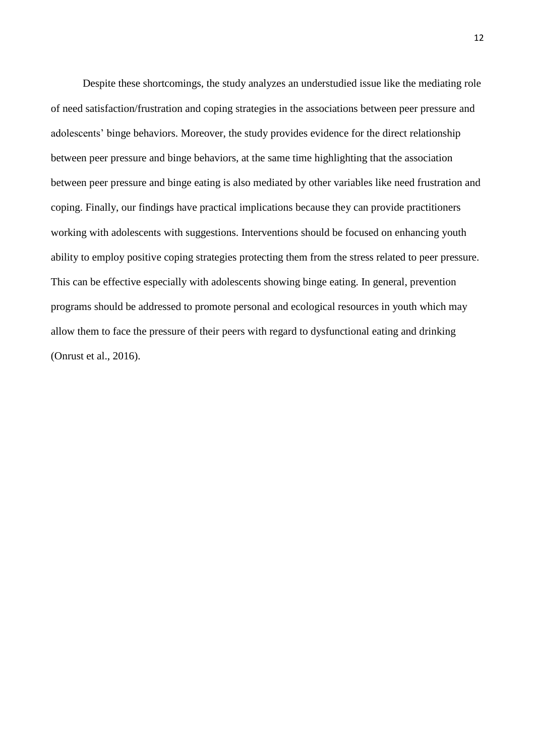Despite these shortcomings, the study analyzes an understudied issue like the mediating role of need satisfaction/frustration and coping strategies in the associations between peer pressure and adolescents" binge behaviors. Moreover, the study provides evidence for the direct relationship between peer pressure and binge behaviors, at the same time highlighting that the association between peer pressure and binge eating is also mediated by other variables like need frustration and coping. Finally, our findings have practical implications because they can provide practitioners working with adolescents with suggestions. Interventions should be focused on enhancing youth ability to employ positive coping strategies protecting them from the stress related to peer pressure. This can be effective especially with adolescents showing binge eating. In general, prevention programs should be addressed to promote personal and ecological resources in youth which may allow them to face the pressure of their peers with regard to dysfunctional eating and drinking (Onrust et al., 2016).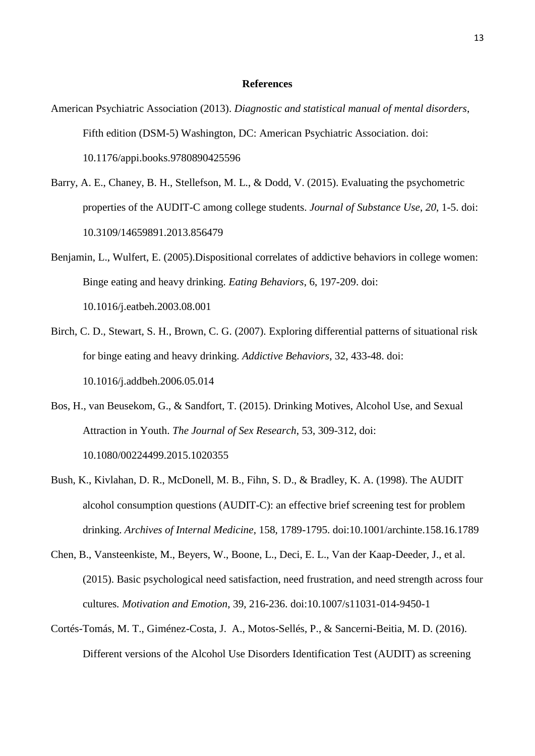## **References**

- American Psychiatric Association (2013). *Diagnostic and statistical manual of mental disorders*, Fifth edition (DSM-5) Washington, DC: American Psychiatric Association. doi: 10.1176/appi.books.9780890425596
- Barry, A. E., Chaney, B. H., Stellefson, M. L., & Dodd, V. (2015). Evaluating the psychometric properties of the AUDIT-C among college students. *Journal of Substance Use*, *20*, 1-5. doi: 10.3109/14659891.2013.856479
- Benjamin, L., Wulfert, E. (2005).Dispositional correlates of addictive behaviors in college women: Binge eating and heavy drinking. *Eating Behaviors*, 6, 197-209. doi: 10.1016/j.eatbeh.2003.08.001
- [Birch, C.](https://www.ncbi.nlm.nih.gov/pubmed/?term=Birch%20CD%5BAuthor%5D&cauthor=true&cauthor_uid=16843613) D., [Stewart, S.](https://www.ncbi.nlm.nih.gov/pubmed/?term=Stewart%20SH%5BAuthor%5D&cauthor=true&cauthor_uid=16843613) H., [Brown, C.](https://www.ncbi.nlm.nih.gov/pubmed/?term=Brown%20CG%5BAuthor%5D&cauthor=true&cauthor_uid=16843613) G. (2007). Exploring differential patterns of situational risk for binge eating and heavy drinking. *[Addictive Behaviors](https://www.ncbi.nlm.nih.gov/pubmed/16843613)*, 32, 433-48. doi: 10.1016/j.addbeh.2006.05.014
- Bos, H., van Beusekom, G., & Sandfort, T. (2015). Drinking Motives, Alcohol Use, and Sexual Attraction in Youth. *The Journal of Sex Research*, 53, 309-312, doi: 10.1080/00224499.2015.1020355
- Bush, K., Kivlahan, D. R., McDonell, M. B., Fihn, S. D., & Bradley, K. A. (1998). The AUDIT alcohol consumption questions (AUDIT-C): an effective brief screening test for problem drinking. *Archives of Internal Medicine*, 158, 1789-1795. doi:10.1001/archinte.158.16.1789
- Chen, B., Vansteenkiste, M., Beyers, W., Boone, L., Deci, E. L., Van der Kaap-Deeder, J., et al. (2015). Basic psychological need satisfaction, need frustration, and need strength across four cultures*. Motivation and Emotion*, 39, 216-236. doi:10.1007/s11031-014-9450-1
- Cortés-Tomás, M. T., Giménez-Costa, J. A., Motos-Sellés, P., & Sancerni-Beitia, M. D. (2016). Different versions of the Alcohol Use Disorders Identification Test (AUDIT) as screening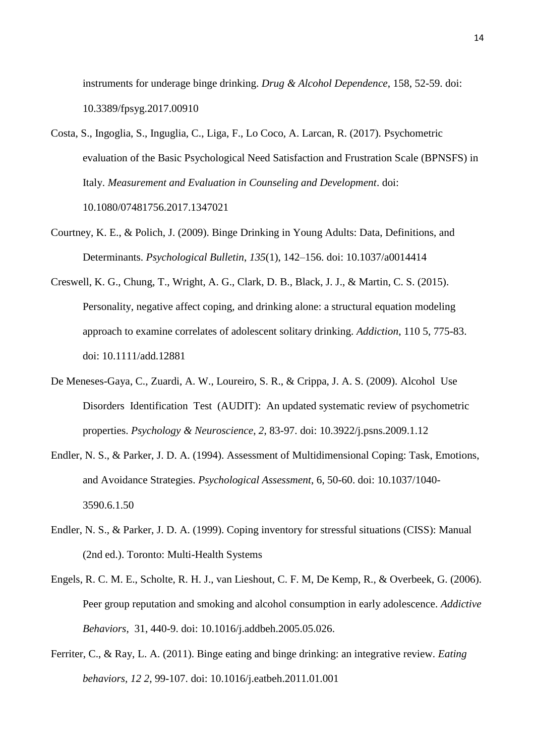instruments for underage binge drinking. *Drug & Alcohol Dependence*, 158, 52-59. doi: 10.3389/fpsyg.2017.00910

- Costa, S., Ingoglia, S., Inguglia, C., Liga, F., Lo Coco, A. Larcan, R. (2017). Psychometric evaluation of the Basic Psychological Need Satisfaction and Frustration Scale (BPNSFS) in Italy. *Measurement and Evaluation in Counseling and Development*. doi: 10.1080/07481756.2017.1347021
- Courtney, K. E., & Polich, J. (2009). Binge Drinking in Young Adults: Data, Definitions, and Determinants. *Psychological Bulletin*, *135*(1), 142–156. doi: <10.1037/a0014414>
- Creswell, K. G., Chung, T., Wright, A. G., Clark, D. B., Black, J. J., & Martin, C. S. (2015). Personality, negative affect coping, and drinking alone: a structural equation modeling approach to examine correlates of adolescent solitary drinking. *Addiction*, 110 5, 775-83. doi: 10.1111/add.12881
- De Meneses-Gaya, C., Zuardi, A. W., Loureiro, S. R., & Crippa, J. A. S. (2009). Alcohol Use Disorders Identification Test (AUDIT): An updated systematic review of psychometric properties. *Psychology & Neuroscience*, *2*, 83-97. doi: 10.3922/j.psns.2009.1.12
- Endler, N. S., & Parker, J. D. A. (1994). Assessment of Multidimensional Coping: Task, Emotions, and Avoidance Strategies. *Psychological Assessment*, 6, 50-60. doi: 10.1037/1040- 3590.6.1.50
- Endler, N. S., & Parker, J. D. A. (1999). Coping inventory for stressful situations (CISS): Manual (2nd ed.). Toronto: Multi-Health Systems
- Engels, R. C. M. E., Scholte, R. H. J., van Lieshout, C. F. M, De Kemp, R., & Overbeek, G. (2006). Peer group reputation and smoking and alcohol consumption in early adolescence. *Addictive Behaviors*, 31, 440-9. doi: 10.1016/j.addbeh.2005.05.026.
- Ferriter, C., & Ray, L. A. (2011). Binge eating and binge drinking: an integrative review. *Eating behaviors, 12 2*, 99-107. doi: 10.1016/j.eatbeh.2011.01.001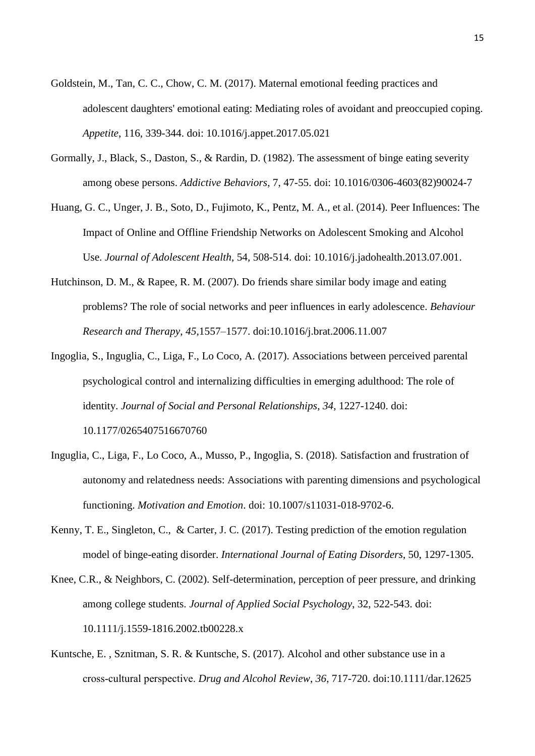- Goldstein, M., Tan, C. C., Chow, C. M. (2017). Maternal emotional feeding practices and adolescent daughters' emotional eating: Mediating roles of avoidant and preoccupied coping. *Appetite*, 116, 339-344. doi: 10.1016/j.appet.2017.05.021
- Gormally, J., Black, S., Daston, S., & Rardin, D. (1982). The assessment of binge eating severity among obese persons. *Addictive Behaviors*, 7, 47-55. doi: 10.1016/0306-4603(82)90024-7
- Huang, G. C., Unger, J. B., Soto, D., Fujimoto, K., Pentz, M. A., et al. (2014). Peer Influences: The Impact of Online and Offline Friendship Networks on Adolescent Smoking and Alcohol Use. *Journal of Adolescent Health*, 54, 508-514. doi: [10.1016/j.jadohealth.2013.07.001.](https://doi.org/10.1016/j.jadohealth.2013.07.001)
- Hutchinson, D. M., & Rapee, R. M. (2007). Do friends share similar body image and eating problems? The role of social networks and peer influences in early adolescence. *Behaviour Research and Therapy*, *45*,1557–1577. doi:10.1016/j.brat.2006.11.007
- Ingoglia, S., Inguglia, C., Liga, F., Lo Coco, A. (2017). Associations between perceived parental psychological control and internalizing difficulties in emerging adulthood: The role of identity. *Journal of Social and Personal Relationships*, *34*, 1227-1240. doi: 10.1177/0265407516670760
- Inguglia, C., Liga, F., Lo Coco, A., Musso, P., Ingoglia, S. (2018). Satisfaction and frustration of autonomy and relatedness needs: Associations with parenting dimensions and psychological functioning. *Motivation and Emotion*. doi: 10.1007/s11031-018-9702-6.
- Kenny, T. E., Singleton, C., & Carter, J. C. (2017). Testing prediction of the emotion regulation model of binge-eating disorder. *International Journal of Eating Disorders*, 50, 1297-1305.
- Knee, C.R., & Neighbors, C. (2002). Self-determination, perception of peer pressure, and drinking among college students. *Journal of Applied Social Psychology*, 32, 522-543. doi: 10.1111/j.1559-1816.2002.tb00228.x
- Kuntsche, E. , Sznitman, S. R. & Kuntsche, S. (2017). Alcohol and other substance use in a cross‐cultural perspective. *Drug and Alcohol Review*, *36*, 717-720. doi:10.1111/dar.12625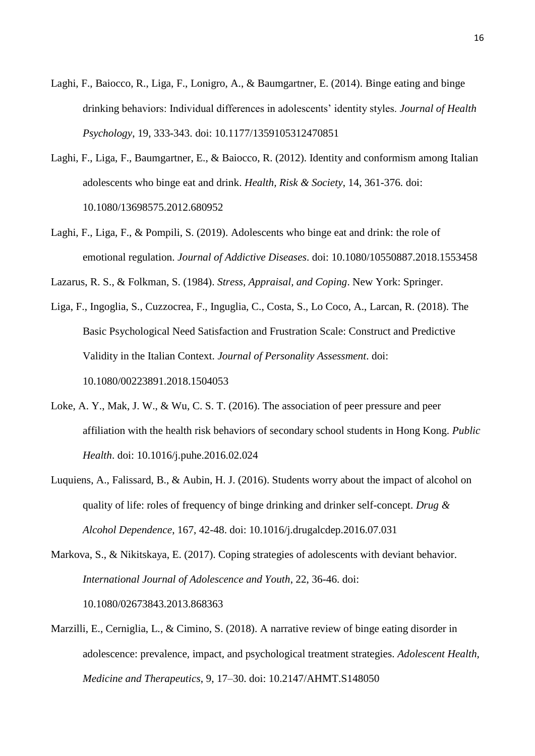- Laghi, F., Baiocco, R., Liga, F., Lonigro, A., & Baumgartner, E. (2014). Binge eating and binge drinking behaviors: Individual differences in adolescents" identity styles. *Journal of Health Psychology*, 19, 333-343. doi: 10.1177/1359105312470851
- Laghi, F., Liga, F., Baumgartner, E., & Baiocco, R. (2012). Identity and conformism among Italian adolescents who binge eat and drink. *Health, Risk & Society*, 14, 361-376. doi: 10.1080/13698575.2012.680952
- Laghi, F., Liga, F., & Pompili, S. (2019). Adolescents who binge eat and drink: the role of emotional regulation. *Journal of Addictive Diseases*. doi: 10.1080/10550887.2018.1553458

Lazarus, R. S., & Folkman, S. (1984). *Stress, Appraisal, and Coping*. New York: Springer.

- Liga, F., Ingoglia, S., Cuzzocrea, F., Inguglia, C., Costa, S., Lo Coco, A., Larcan, R. (2018). The Basic Psychological Need Satisfaction and Frustration Scale: Construct and Predictive Validity in the Italian Context. *Journal of Personality Assessment*. doi: 10.1080/00223891.2018.1504053
- Loke, A. Y., Mak, J. W., & Wu, C. S. T. (2016). The association of peer pressure and peer affiliation with the health risk behaviors of secondary school students in Hong Kong. *Public Health*. doi: 10.1016/j.puhe.2016.02.024
- Luquiens, A., Falissard, B., & Aubin, H. J. (2016). Students worry about the impact of alcohol on quality of life: roles of frequency of binge drinking and drinker self-concept. *Drug & Alcohol Dependence*, 167, 42-48. doi: 10.1016/j.drugalcdep.2016.07.031
- Markova, S., & Nikitskaya, E. (2017). Coping strategies of adolescents with deviant behavior. *International Journal of Adolescence and Youth*, 22, 36-46. doi: 10.1080/02673843.2013.868363
- Marzilli, E., Cerniglia, L., & Cimino, S. (2018). A narrative review of binge eating disorder in adolescence: prevalence, impact, and psychological treatment strategies. *Adolescent Health, Medicine and Therapeutics*, 9, 17–30. doi: 10.2147/AHMT.S148050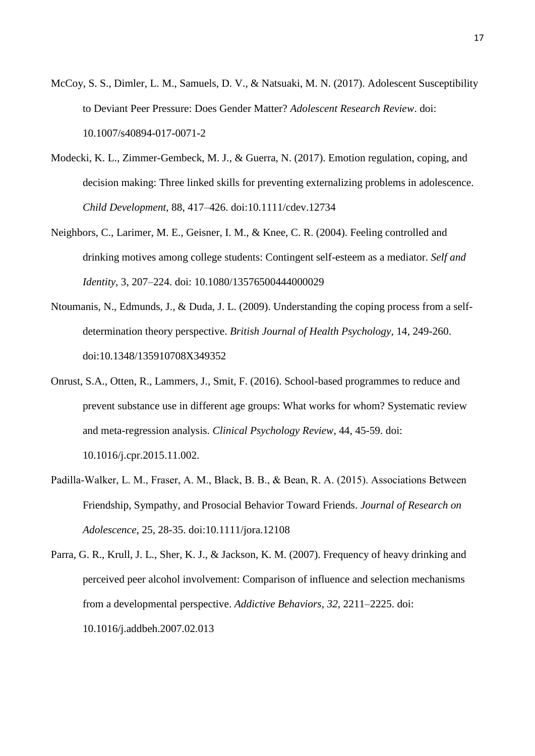- McCoy, S. S., Dimler, L. M., Samuels, D. V., & Natsuaki, M. N. (2017). Adolescent Susceptibility to Deviant Peer Pressure: Does Gender Matter? *Adolescent Research Review*. doi: 10.1007/s40894-017-0071-2
- Modecki, K. L., Zimmer-Gembeck, M. J., & Guerra, N. (2017). Emotion regulation, coping, and decision making: Three linked skills for preventing externalizing problems in adolescence. *Child Development*, 88, 417–426. doi:10.1111/cdev.12734
- Neighbors, C., Larimer, M. E., Geisner, I. M., & Knee, C. R. (2004). Feeling controlled and drinking motives among college students: Contingent self-esteem as a mediator. *Self and Identity*, 3, 207–224. doi: 10.1080/13576500444000029
- Ntoumanis, N., Edmunds, J., & Duda, J. L. (2009). Understanding the coping process from a selfdetermination theory perspective. *British Journal of Health Psychology*, 14, 249-260. doi:10.1348/135910708X349352
- Onrust, S.A., Otten, R., Lammers, J., Smit, F. (2016). School-based programmes to reduce and prevent substance use in different age groups: What works for whom? Systematic review and meta-regression analysis*. Clinical Psychology Review*, 44, 45-59. doi: 10.1016/j.cpr.2015.11.002.
- Padilla‐Walker, L. M., Fraser, A. M., Black, B. B., & Bean, R. A. (2015). Associations Between Friendship, Sympathy, and Prosocial Behavior Toward Friends. *Journal of Research on*

*Adolescence*, 25, 28-35. doi:10.1111/jora.12108

Parra, G. R., Krull, J. L., Sher, K. J., & Jackson, K. M. (2007). Frequency of heavy drinking and perceived peer alcohol involvement: Comparison of influence and selection mechanisms from a developmental perspective. *Addictive Behaviors*, *32*, 2211–2225. doi: 10.1016/j.addbeh.2007.02.013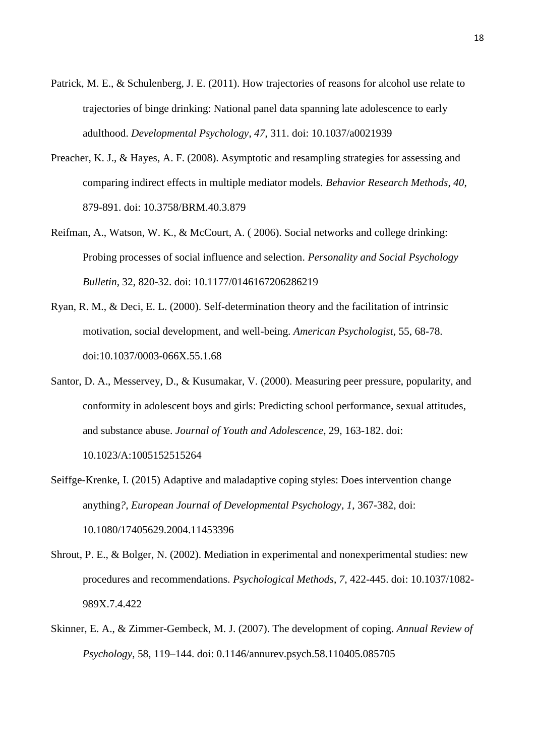- Patrick, M. E., & Schulenberg, J. E. (2011). How trajectories of reasons for alcohol use relate to trajectories of binge drinking: National panel data spanning late adolescence to early adulthood. *Developmental Psychology*, *47*, 311. doi: 10.1037/a0021939
- Preacher, K. J., & Hayes, A. F. (2008). Asymptotic and resampling strategies for assessing and comparing indirect effects in multiple mediator models. *Behavior Research Methods*, *40*, 879-891. doi: 10.3758/BRM.40.3.879
- Reifman, A., Watson, W. K., & McCourt, A. ( 2006). Social networks and college drinking: Probing processes of social influence and selection. *Personality and Social Psychology Bulletin*, 32, 820-32. doi: 10.1177/0146167206286219
- Ryan, R. M., & Deci, E. L. (2000). Self-determination theory and the facilitation of intrinsic motivation, social development, and well-being. *American Psychologist*, 55, 68-78. doi:10.1037/0003-066X.55.1.68
- Santor, D. A., Messervey, D., & Kusumakar, V. (2000). Measuring peer pressure, popularity, and conformity in adolescent boys and girls: Predicting school performance, sexual attitudes, and substance abuse. *Journal of Youth and Adolescence*, 29, 163-182. doi:

10.1023/A:1005152515264

- Seiffge-Krenke, I. (2015) Adaptive and maladaptive coping styles: Does intervention change anything*?, European Journal of Developmental Psychology*, *1*, 367-382, doi: 10.1080/17405629.2004.11453396
- Shrout, P. E., & Bolger, N. (2002). Mediation in experimental and nonexperimental studies: new procedures and recommendations. *Psychological Methods*, *7*, 422-445. doi: 10.1037/1082- 989X.7.4.422
- Skinner, E. A., & Zimmer-Gembeck, M. J. (2007). The development of coping. *Annual Review of Psychology*, 58, 119–144. doi: 0.1146/annurev.psych.58.110405.085705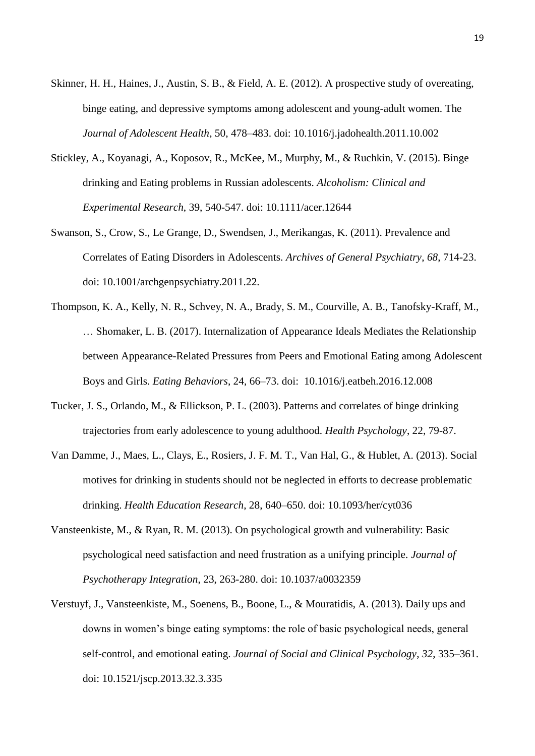- Skinner, H. H., Haines, J., Austin, S. B., & Field, A. E. (2012). A prospective study of overeating, binge eating, and depressive symptoms among adolescent and young-adult women. The *Journal of Adolescent Health*, 50, 478–483. doi: 10.1016/j.jadohealth.2011.10.002
- Stickley, A., Koyanagi, A., Koposov, R., McKee, M., Murphy, M., & Ruchkin, V. (2015). Binge drinking and Eating problems in Russian adolescents. *Alcoholism: Clinical and Experimental Research*, 39, 540-547. doi: 10.1111/acer.12644
- Swanson, S., Crow, S., Le Grange, D., Swendsen, J., Merikangas, K. (2011). Prevalence and Correlates of Eating Disorders in Adolescents. *Archives of General Psychiatry*, *68*, 714-23. doi: 10.1001/archgenpsychiatry.2011.22.
- Thompson, K. A., Kelly, N. R., Schvey, N. A., Brady, S. M., Courville, A. B., Tanofsky-Kraff, M., … Shomaker, L. B. (2017). Internalization of Appearance Ideals Mediates the Relationship between Appearance-Related Pressures from Peers and Emotional Eating among Adolescent Boys and Girls. *Eating Behaviors*, 24, 66–73. doi: 10.1016/j.eatbeh.2016.12.008
- Tucker, J. S., Orlando, M., & Ellickson, P. L. (2003). Patterns and correlates of binge drinking trajectories from early adolescence to young adulthood. *Health Psychology*, 22, 79-87.
- Van Damme, J., Maes, L., Clays, E., Rosiers, J. F. M. T., Van Hal, G., & Hublet, A. (2013). Social motives for drinking in students should not be neglected in efforts to decrease problematic drinking. *Health Education Research*, 28, 640–650. doi: 10.1093/her/cyt036
- Vansteenkiste, M., & Ryan, R. M. (2013). On psychological growth and vulnerability: Basic psychological need satisfaction and need frustration as a unifying principle. *Journal of Psychotherapy Integration*, 23, 263-280. doi: 10.1037/a0032359
- Verstuyf, J., Vansteenkiste, M., Soenens, B., Boone, L., & Mouratidis, A. (2013). Daily ups and downs in women"s binge eating symptoms: the role of basic psychological needs, general self-control, and emotional eating. *Journal of Social and Clinical Psychology*, *32*, 335–361. doi: 10.1521/jscp.2013.32.3.335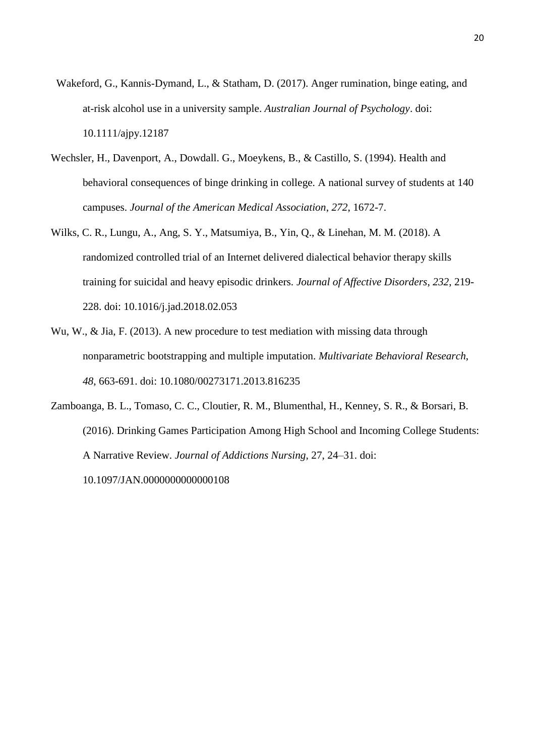- Wakeford, G., Kannis-Dymand, L., & Statham, D. (2017). Anger rumination, binge eating, and at‐risk alcohol use in a university sample. *Australian Journal of Psychology*. doi: 10.1111/ajpy.12187
- Wechsler, H., Davenport, A., Dowdall. G., Moeykens, B., & Castillo, S. (1994). Health and behavioral consequences of binge drinking in college. A national survey of students at 140 campuses. *Journal of the American Medical Association*, *272*, 1672-7.
- Wilks, C. R., Lungu, A., Ang, S. Y., Matsumiya, B., Yin, Q., & Linehan, M. M. (2018). A randomized controlled trial of an Internet delivered dialectical behavior therapy skills training for suicidal and heavy episodic drinkers. *Journal of Affective Disorders*, *232*, 219- 228. doi: 10.1016/j.jad.2018.02.053
- Wu, W., & Jia, F. (2013). A new procedure to test mediation with missing data through nonparametric bootstrapping and multiple imputation. *Multivariate Behavioral Research*, *48*, 663-691. doi: 10.1080/00273171.2013.816235
- Zamboanga, B. L., Tomaso, C. C., Cloutier, R. M., Blumenthal, H., Kenney, S. R., & Borsari, B. (2016). Drinking Games Participation Among High School and Incoming College Students: A Narrative Review. *Journal of Addictions Nursing*, 27, 24–31. doi: 10.1097/JAN.0000000000000108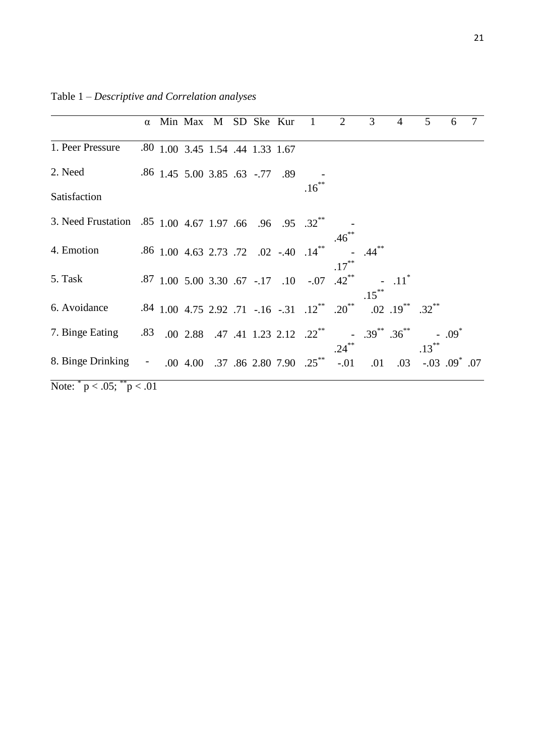|                                                                     |  | α Min Max M SD Ske Kur           |  |  | $\overline{1}$                                         | 2        | 3                                   | $\overline{4}$              | 5        | 6                   |  |
|---------------------------------------------------------------------|--|----------------------------------|--|--|--------------------------------------------------------|----------|-------------------------------------|-----------------------------|----------|---------------------|--|
| 1. Peer Pressure                                                    |  | .80 1.00 3.45 1.54 .44 1.33 1.67 |  |  |                                                        |          |                                     |                             |          |                     |  |
| 2. Need                                                             |  | .86 1.45 5.00 3.85 .63 -.77 .89  |  |  |                                                        |          |                                     |                             |          |                     |  |
| Satisfaction                                                        |  |                                  |  |  | $.16***$                                               |          |                                     |                             |          |                     |  |
| 3. Need Frustation .85 1.00 4.67 1.97 .66 .96 .95 .32 <sup>**</sup> |  |                                  |  |  |                                                        | .46      |                                     |                             |          |                     |  |
| 4. Emotion                                                          |  |                                  |  |  | .86 1.00 4.63 2.73 .72 .02 -.40 .14**                  | $.17***$ |                                     |                             |          |                     |  |
| 5. Task                                                             |  |                                  |  |  | .87 1.00 5.00 3.30 .67 -.17 .10 -.07 .42 <sup>**</sup> |          | $.15***$                            | $.11$ <sup>*</sup>          |          |                     |  |
| 6. Avoidance                                                        |  |                                  |  |  | .84 1.00 4.75 2.92 .71 -.16 -.31 .12** .20**           |          |                                     | $.02$ $.19^{**}$ $.32^{**}$ |          |                     |  |
| 7. Binge Eating 33 .00 2.88 .47 .41 1.23 2.12 .22 <sup>**</sup>     |  |                                  |  |  |                                                        | $.24***$ | $-39^{**}.36^{**}$                  |                             | $.13***$ | $-.09$ <sup>*</sup> |  |
| 8. Binge Drinking - .00 4.00 .37 .86 2.80 7.90 .25 <sup>**</sup>    |  |                                  |  |  |                                                        |          | $-0.01$ $0.03$ $0.03$ $0.09$ $0.07$ |                             |          |                     |  |
| Note: $p < .05$ ; $p < .01$                                         |  |                                  |  |  |                                                        |          |                                     |                             |          |                     |  |

Table 1 – *Descriptive and Correlation analyses*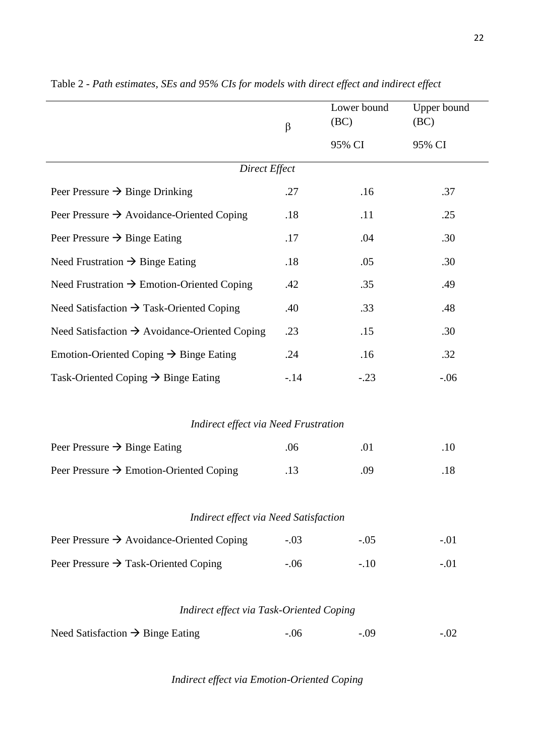|                                                           | $\beta$ | Lower bound<br>(BC) | Upper bound<br>(BC)<br>95% CI |  |  |  |  |  |  |
|-----------------------------------------------------------|---------|---------------------|-------------------------------|--|--|--|--|--|--|
|                                                           |         | 95% CI              |                               |  |  |  |  |  |  |
| Direct Effect                                             |         |                     |                               |  |  |  |  |  |  |
| Peer Pressure $\rightarrow$ Binge Drinking                | .27     | .16                 | .37                           |  |  |  |  |  |  |
| Peer Pressure $\rightarrow$ Avoidance-Oriented Coping     | .18     | .11                 | .25                           |  |  |  |  |  |  |
| Peer Pressure $\rightarrow$ Binge Eating                  | .17     | .04                 | .30                           |  |  |  |  |  |  |
| Need Frustration $\rightarrow$ Binge Eating               | .18     | .05                 | .30                           |  |  |  |  |  |  |
| Need Frustration $\rightarrow$ Emotion-Oriented Coping    | .42     | .35                 | .49                           |  |  |  |  |  |  |
| Need Satisfaction $\rightarrow$ Task-Oriented Coping      | .40     | .33                 | .48                           |  |  |  |  |  |  |
| Need Satisfaction $\rightarrow$ Avoidance-Oriented Coping | .23     | .15                 | .30                           |  |  |  |  |  |  |
| Emotion-Oriented Coping $\rightarrow$ Binge Eating        | .24     | .16                 | .32                           |  |  |  |  |  |  |
| Task-Oriented Coping $\rightarrow$ Binge Eating           | $-.14$  | $-.23$              | $-.06$                        |  |  |  |  |  |  |
|                                                           |         |                     |                               |  |  |  |  |  |  |
| <b>Indirect effect via Need Frustration</b>               |         |                     |                               |  |  |  |  |  |  |
| Peer Pressure $\rightarrow$ Binge Eating                  | .06     | .01                 | .10                           |  |  |  |  |  |  |
| Peer Pressure $\rightarrow$ Emotion-Oriented Coping       | .13     | .09                 | .18                           |  |  |  |  |  |  |
|                                                           |         |                     |                               |  |  |  |  |  |  |
| <b>Indirect effect via Need Satisfaction</b>              |         |                     |                               |  |  |  |  |  |  |
| Peer Pressure $\rightarrow$ Avoidance-Oriented Coping     | $-.03$  | $-.05$              | $-.01$                        |  |  |  |  |  |  |
| Peer Pressure $\rightarrow$ Task-Oriented Coping          | $-.06$  | $-.10$              | $-.01$                        |  |  |  |  |  |  |
|                                                           |         |                     |                               |  |  |  |  |  |  |
| Indirect effect via Task-Oriented Coping                  |         |                     |                               |  |  |  |  |  |  |
| Need Satisfaction $\rightarrow$ Binge Eating              | $-.06$  | $-.09$              | $-.02$                        |  |  |  |  |  |  |

Table 2 - *Path estimates, SEs and 95% CIs for models with direct effect and indirect effect*

# *Indirect effect via Emotion-Oriented Coping*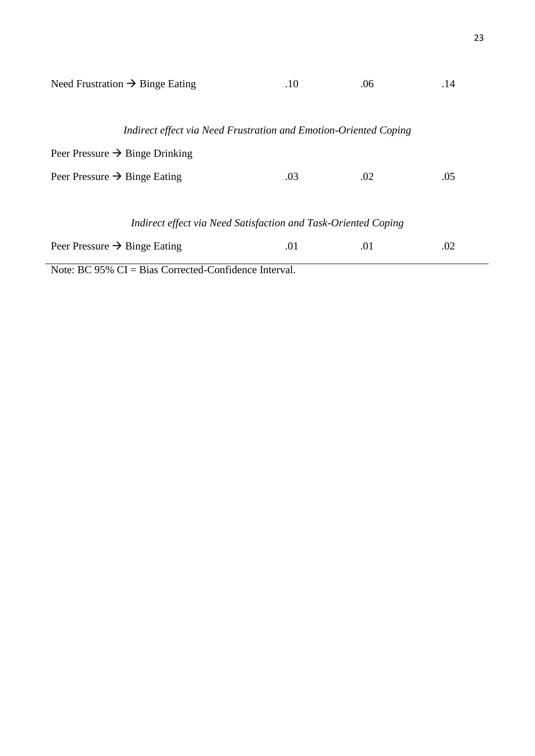|                                                                  | Need Frustration $\rightarrow$ Binge Eating | .10 | .06 | .14 |  |  |  |  |
|------------------------------------------------------------------|---------------------------------------------|-----|-----|-----|--|--|--|--|
|                                                                  |                                             |     |     |     |  |  |  |  |
| Indirect effect via Need Frustration and Emotion-Oriented Coping |                                             |     |     |     |  |  |  |  |
| Peer Pressure $\rightarrow$ Binge Drinking                       |                                             |     |     |     |  |  |  |  |
| Peer Pressure $\rightarrow$ Binge Eating                         |                                             | .03 | .02 | .05 |  |  |  |  |
|                                                                  |                                             |     |     |     |  |  |  |  |
| Indirect effect via Need Satisfaction and Task-Oriented Coping   |                                             |     |     |     |  |  |  |  |
| Peer Pressure $\rightarrow$ Binge Eating                         |                                             | .01 | .01 | .02 |  |  |  |  |

Note: BC 95% CI = Bias Corrected-Confidence Interval.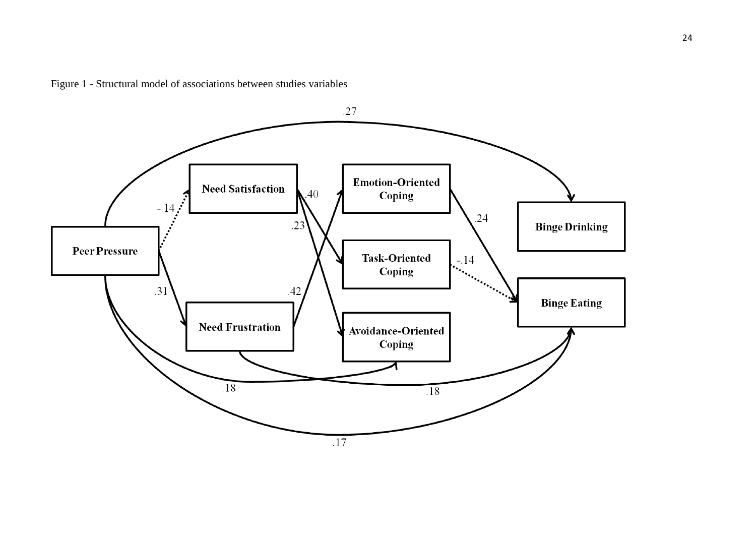

Figure 1 - Structural model of associations between studies variables